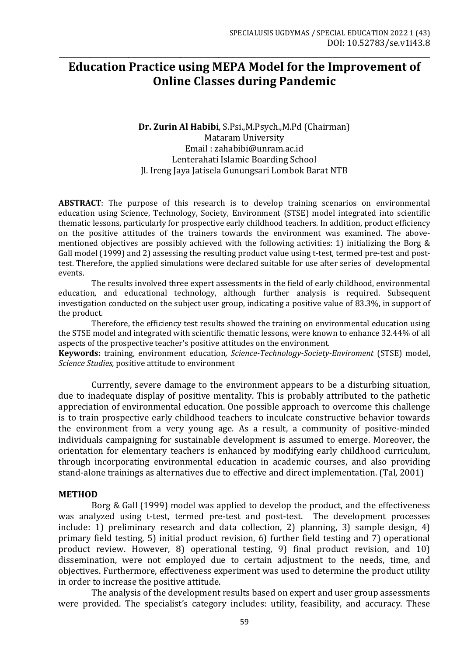# **Education Practice using MEPA Model for the Improvement of Online Classes during Pandemic**

\_\_\_\_\_\_\_\_\_\_\_\_\_\_\_\_\_\_\_\_\_\_\_\_\_\_\_\_\_\_\_\_\_\_\_\_\_\_\_\_\_\_\_\_\_\_\_\_\_\_\_\_\_\_\_\_\_\_\_\_\_\_\_\_\_\_\_\_\_\_\_\_\_\_\_\_\_\_\_\_\_\_\_\_\_\_\_\_\_\_\_\_\_\_\_\_\_\_\_\_\_\_\_\_\_\_\_

# **Dr. Zurin Al Habibi**, S.Psi.,M.Psych.,M.Pd (Chairman) Mataram University Email : zahabibi@unram.ac.id Lenterahati Islamic Boarding School Jl. Ireng Jaya Jatisela Gunungsari Lombok Barat NTB

**ABSTRACT**: The purpose of this research is to develop training scenarios on environmental education using Science, Technology, Society, Environment (STSE) model integrated into scientific thematic lessons, particularly for prospective early childhood teachers. In addition, product efficiency on the positive attitudes of the trainers towards the environment was examined. The abovementioned objectives are possibly achieved with the following activities: 1) initializing the Borg & Gall model (1999) and 2) assessing the resulting product value using t-test, termed pre-test and posttest. Therefore, the applied simulations were declared suitable for use after series of developmental events.

The results involved three expert assessments in the field of early childhood, environmental education, and educational technology, although further analysis is required. Subsequent investigation conducted on the subject user group, indicating a positive value of 83.3%, in support of the product.

Therefore, the efficiency test results showed the training on environmental education using the STSE model and integrated with scientific thematic lessons, were known to enhance 32.44% of all aspects of the prospective teacher's positive attitudes on the environment.

**Keywords:** training*,* environment education*, Science-Technology-Society-Enviroment* (STSE) model, *Science Studies,* positive attitude to environment

Currently, severe damage to the environment appears to be a disturbing situation, due to inadequate display of positive mentality. This is probably attributed to the pathetic appreciation of environmental education. One possible approach to overcome this challenge is to train prospective early childhood teachers to inculcate constructive behavior towards the environment from a very young age. As a result, a community of positive-minded individuals campaigning for sustainable development is assumed to emerge. Moreover, the orientation for elementary teachers is enhanced by modifying early childhood curriculum, through incorporating environmental education in academic courses, and also providing stand-alone trainings as alternatives due to effective and direct implementation. (Tal, 2001)

#### **METHOD**

Borg & Gall (1999) model was applied to develop the product, and the effectiveness was analyzed using t-test, termed pre-test and post-test. The development processes include: 1) preliminary research and data collection, 2) planning, 3) sample design, 4) primary field testing, 5) initial product revision, 6) further field testing and 7) operational product review. However, 8) operational testing, 9) final product revision, and 10) dissemination, were not employed due to certain adjustment to the needs, time, and objectives. Furthermore, effectiveness experiment was used to determine the product utility in order to increase the positive attitude.

The analysis of the development results based on expert and user group assessments were provided. The specialist's category includes: utility, feasibility, and accuracy. These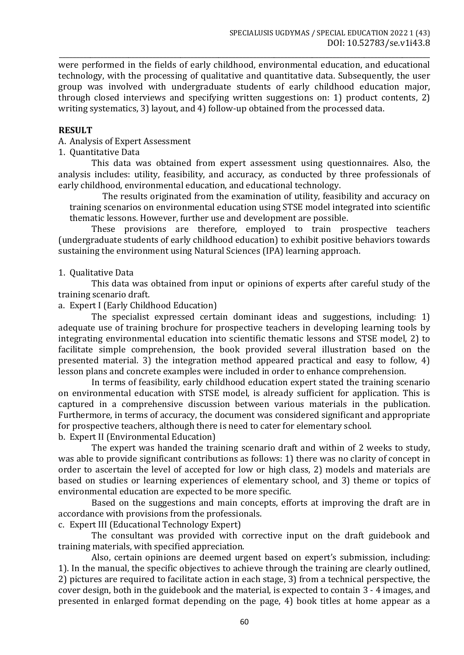\_\_\_\_\_\_\_\_\_\_\_\_\_\_\_\_\_\_\_\_\_\_\_\_\_\_\_\_\_\_\_\_\_\_\_\_\_\_\_\_\_\_\_\_\_\_\_\_\_\_\_\_\_\_\_\_\_\_\_\_\_\_\_\_\_\_\_\_\_\_\_\_\_\_\_\_\_\_\_\_\_\_\_\_\_\_\_\_\_\_\_\_\_\_\_\_\_\_\_\_\_\_\_\_\_\_\_ were performed in the fields of early childhood, environmental education, and educational technology, with the processing of qualitative and quantitative data. Subsequently, the user group was involved with undergraduate students of early childhood education major, through closed interviews and specifying written suggestions on: 1) product contents, 2) writing systematics, 3) layout, and 4) follow-up obtained from the processed data.

# **RESULT**

# A. Analysis of Expert Assessment

## 1. Quantitative Data

This data was obtained from expert assessment using questionnaires. Also, the analysis includes: utility, feasibility, and accuracy, as conducted by three professionals of early childhood, environmental education, and educational technology.

The results originated from the examination of utility, feasibility and accuracy on training scenarios on environmental education using STSE model integrated into scientific thematic lessons. However, further use and development are possible.

These provisions are therefore, employed to train prospective teachers (undergraduate students of early childhood education) to exhibit positive behaviors towards sustaining the environment using Natural Sciences (IPA) learning approach.

## 1. Qualitative Data

This data was obtained from input or opinions of experts after careful study of the training scenario draft.

a. Expert I (Early Childhood Education)

The specialist expressed certain dominant ideas and suggestions, including: 1) adequate use of training brochure for prospective teachers in developing learning tools by integrating environmental education into scientific thematic lessons and STSE model, 2) to facilitate simple comprehension, the book provided several illustration based on the presented material. 3) the integration method appeared practical and easy to follow, 4) lesson plans and concrete examples were included in order to enhance comprehension.

In terms of feasibility, early childhood education expert stated the training scenario on environmental education with STSE model, is already sufficient for application. This is captured in a comprehensive discussion between various materials in the publication. Furthermore, in terms of accuracy, the document was considered significant and appropriate for prospective teachers, although there is need to cater for elementary school. b. Expert II (Environmental Education)

The expert was handed the training scenario draft and within of 2 weeks to study, was able to provide significant contributions as follows: 1) there was no clarity of concept in order to ascertain the level of accepted for low or high class, 2) models and materials are based on studies or learning experiences of elementary school, and 3) theme or topics of environmental education are expected to be more specific.

Based on the suggestions and main concepts, efforts at improving the draft are in accordance with provisions from the professionals.

c. Expert III (Educational Technology Expert)

The consultant was provided with corrective input on the draft guidebook and training materials, with specified appreciation.

Also, certain opinions are deemed urgent based on expert's submission, including: 1). In the manual, the specific objectives to achieve through the training are clearly outlined, 2) pictures are required to facilitate action in each stage, 3) from a technical perspective, the cover design, both in the guidebook and the material, is expected to contain 3 - 4 images, and presented in enlarged format depending on the page, 4) book titles at home appear as a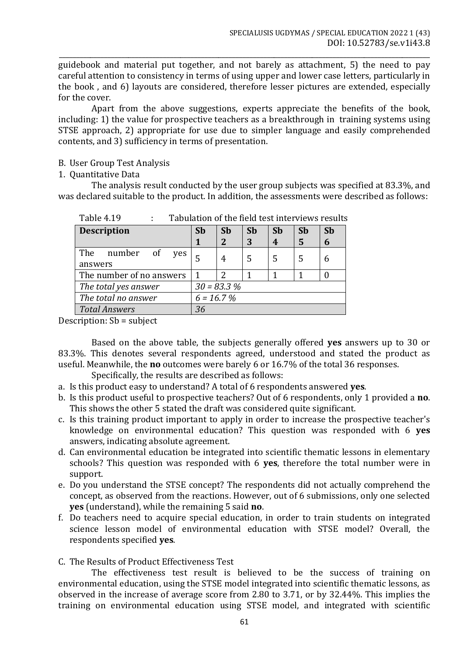\_\_\_\_\_\_\_\_\_\_\_\_\_\_\_\_\_\_\_\_\_\_\_\_\_\_\_\_\_\_\_\_\_\_\_\_\_\_\_\_\_\_\_\_\_\_\_\_\_\_\_\_\_\_\_\_\_\_\_\_\_\_\_\_\_\_\_\_\_\_\_\_\_\_\_\_\_\_\_\_\_\_\_\_\_\_\_\_\_\_\_\_\_\_\_\_\_\_\_\_\_\_\_\_\_\_\_ guidebook and material put together, and not barely as attachment, 5) the need to pay careful attention to consistency in terms of using upper and lower case letters, particularly in the book , and 6) layouts are considered, therefore lesser pictures are extended, especially for the cover.

Apart from the above suggestions, experts appreciate the benefits of the book, including: 1) the value for prospective teachers as a breakthrough in training systems using STSE approach, 2) appropriate for use due to simpler language and easily comprehended contents, and 3) sufficiency in terms of presentation.

- B. User Group Test Analysis
- 1. Quantitative Data

The analysis result conducted by the user group subjects was specified at 83.3%, and was declared suitable to the product. In addition, the assessments were described as follows:

| <b>Description</b>       | <b>Sb</b>    | <b>Sb</b>   | <b>Sb</b> | <b>Sb</b> | <b>Sb</b> | <b>Sb</b> |
|--------------------------|--------------|-------------|-----------|-----------|-----------|-----------|
|                          |              | $\mathbf 2$ | 3         | 4         | 5         | 6         |
| The<br>number of<br>ves  |              | 4           | 5         |           | 5         |           |
| answers                  |              |             |           |           |           |           |
| The number of no answers |              |             |           |           |           |           |
| The total yes answer     | $30 = 83.3%$ |             |           |           |           |           |
| The total no answer      | $6 = 16.7%$  |             |           |           |           |           |
| <b>Total Answers</b>     | 36           |             |           |           |           |           |

Table 4.19 : Tabulation of the field test interviews results

Description: Sb = subject

Based on the above table, the subjects generally offered **yes** answers up to 30 or 83.3%. This denotes several respondents agreed, understood and stated the product as useful. Meanwhile, the **no** outcomes were barely 6 or 16.7% of the total 36 responses.

Specifically, the results are described as follows:

- a. Is this product easy to understand? A total of 6 respondents answered **yes**.
- b. Is this product useful to prospective teachers? Out of 6 respondents, only 1 provided a **no**. This shows the other 5 stated the draft was considered quite significant.
- c. Is this training product important to apply in order to increase the prospective teacher's knowledge on environmental education? This question was responded with 6 **yes**  answers, indicating absolute agreement.
- d. Can environmental education be integrated into scientific thematic lessons in elementary schools? This question was responded with 6 **yes**, therefore the total number were in support.
- e. Do you understand the STSE concept? The respondents did not actually comprehend the concept, as observed from the reactions. However, out of 6 submissions, only one selected **yes** (understand), while the remaining 5 said **no**.
- f. Do teachers need to acquire special education, in order to train students on integrated science lesson model of environmental education with STSE model? Overall, the respondents specified **yes**.
- C. The Results of Product Effectiveness Test

The effectiveness test result is believed to be the success of training on environmental education, using the STSE model integrated into scientific thematic lessons, as observed in the increase of average score from 2.80 to 3.71, or by 32.44%. This implies the training on environmental education using STSE model, and integrated with scientific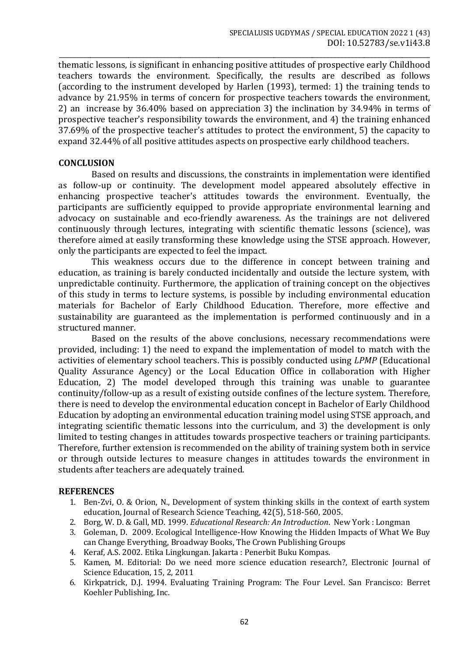\_\_\_\_\_\_\_\_\_\_\_\_\_\_\_\_\_\_\_\_\_\_\_\_\_\_\_\_\_\_\_\_\_\_\_\_\_\_\_\_\_\_\_\_\_\_\_\_\_\_\_\_\_\_\_\_\_\_\_\_\_\_\_\_\_\_\_\_\_\_\_\_\_\_\_\_\_\_\_\_\_\_\_\_\_\_\_\_\_\_\_\_\_\_\_\_\_\_\_\_\_\_\_\_\_\_\_ thematic lessons, is significant in enhancing positive attitudes of prospective early Childhood teachers towards the environment. Specifically, the results are described as follows (according to the instrument developed by Harlen (1993), termed: 1) the training tends to advance by 21.95% in terms of concern for prospective teachers towards the environment, 2) an increase by 36.40% based on appreciation 3) the inclination by 34.94% in terms of prospective teacher's responsibility towards the environment, and 4) the training enhanced 37.69% of the prospective teacher's attitudes to protect the environment, 5) the capacity to expand 32.44% of all positive attitudes aspects on prospective early childhood teachers.

# **CONCLUSION**

Based on results and discussions, the constraints in implementation were identified as follow-up or continuity. The development model appeared absolutely effective in enhancing prospective teacher's attitudes towards the environment. Eventually, the participants are sufficiently equipped to provide appropriate environmental learning and advocacy on sustainable and eco-friendly awareness. As the trainings are not delivered continuously through lectures, integrating with scientific thematic lessons (science), was therefore aimed at easily transforming these knowledge using the STSE approach. However, only the participants are expected to feel the impact.

This weakness occurs due to the difference in concept between training and education, as training is barely conducted incidentally and outside the lecture system, with unpredictable continuity. Furthermore, the application of training concept on the objectives of this study in terms to lecture systems, is possible by including environmental education materials for Bachelor of Early Childhood Education. Therefore, more effective and sustainability are guaranteed as the implementation is performed continuously and in a structured manner.

Based on the results of the above conclusions, necessary recommendations were provided, including: 1) the need to expand the implementation of model to match with the activities of elementary school teachers. This is possibly conducted using *LPMP* (Educational Quality Assurance Agency) or the Local Education Office in collaboration with Higher Education, 2) The model developed through this training was unable to guarantee continuity/follow-up as a result of existing outside confines of the lecture system. Therefore, there is need to develop the environmental education concept in Bachelor of Early Childhood Education by adopting an environmental education training model using STSE approach, and integrating scientific thematic lessons into the curriculum, and 3) the development is only limited to testing changes in attitudes towards prospective teachers or training participants. Therefore, further extension is recommended on the ability of training system both in service or through outside lectures to measure changes in attitudes towards the environment in students after teachers are adequately trained.

#### **REFERENCES**

- 1. Ben-Zvi, O. & Orion, N., Development of system thinking skills in the context of earth system education, Journal of Research Science Teaching, 42(5), 518-560, 2005.
- 2. Borg, W. D. & Gall, MD. 1999. *Educational Research: An Introduction*. New York : Longman
- 3. Goleman, D. 2009. Ecological Intelligence-How Knowing the Hidden Impacts of What We Buy can Change Everything, Broadway Books, The Crown Publishing Groups
- 4. Keraf, A.S. 2002. Etika Lingkungan. Jakarta : Penerbit Buku Kompas.
- 5. Kamen, M. Editorial: Do we need more science education research?, Electronic Journal of Science Education, 15, 2, 2011
- 6. Kirkpatrick, D.J. 1994. Evaluating Training Program: The Four Level. San Francisco: Berret Koehler Publishing, Inc.